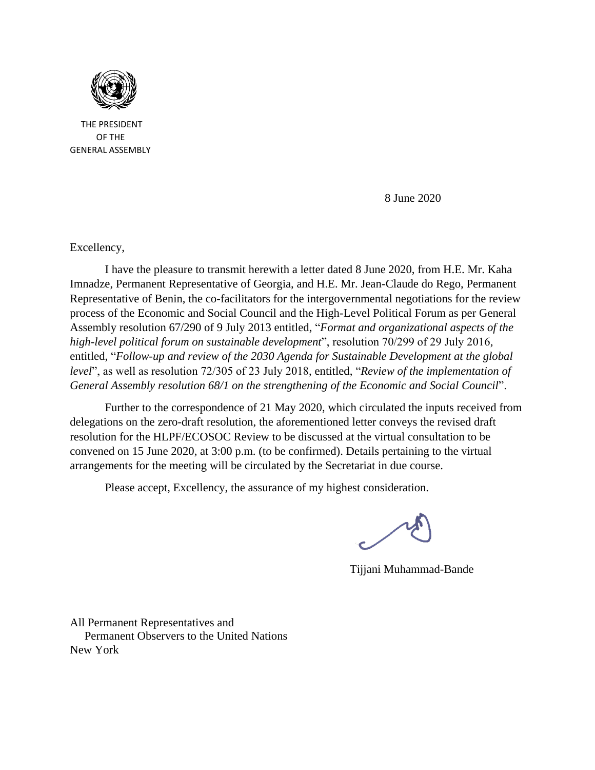

 THE PRESIDENT OF THE GENERAL ASSEMBLY

8 June 2020

Excellency,

I have the pleasure to transmit herewith a letter dated 8 June 2020, from H.E. Mr. Kaha Imnadze, Permanent Representative of Georgia, and H.E. Mr. Jean-Claude do Rego, Permanent Representative of Benin, the co-facilitators for the intergovernmental negotiations for the review process of the Economic and Social Council and the High-Level Political Forum as per General Assembly resolution 67/290 of 9 July 2013 entitled, "*Format and organizational aspects of the high-level political forum on sustainable development*", resolution 70/299 of 29 July 2016, entitled, "*Follow-up and review of the 2030 Agenda for Sustainable Development at the global level*", as well as resolution 72/305 of 23 July 2018, entitled, "*Review of the implementation of General Assembly resolution 68/1 on the strengthening of the Economic and Social Council*".

Further to the correspondence of 21 May 2020, which circulated the inputs received from delegations on the zero-draft resolution, the aforementioned letter conveys the revised draft resolution for the HLPF/ECOSOC Review to be discussed at the virtual consultation to be convened on 15 June 2020, at 3:00 p.m. (to be confirmed). Details pertaining to the virtual arrangements for the meeting will be circulated by the Secretariat in due course.

Please accept, Excellency, the assurance of my highest consideration.

Tijjani Muhammad-Bande

All Permanent Representatives and Permanent Observers to the United Nations New York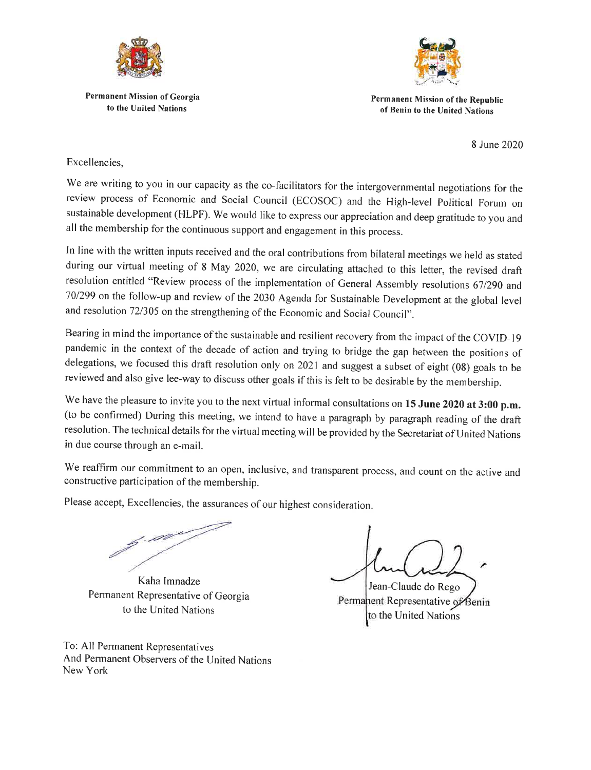

**Permanent Mission of Georgia** to the United Nations



Permanent Mission of the Republic of Benin to the United Nations

8 June 2020

Excellencies.

We are writing to you in our capacity as the co-facilitators for the intergovernmental negotiations for the review process of Economic and Social Council (ECOSOC) and the High-level Political Forum on sustainable development (HLPF). We would like to express our appreciation and deep gratitude to you and all the membership for the continuous support and engagement in this process.

In line with the written inputs received and the oral contributions from bilateral meetings we held as stated during our virtual meeting of 8 May 2020, we are circulating attached to this letter, the revised draft resolution entitled "Review process of the implementation of General Assembly resolutions 67/290 and 70/299 on the follow-up and review of the 2030 Agenda for Sustainable Development at the global level and resolution 72/305 on the strengthening of the Economic and Social Council".

Bearing in mind the importance of the sustainable and resilient recovery from the impact of the COVID-19 pandemic in the context of the decade of action and trying to bridge the gap between the positions of delegations, we focused this draft resolution only on 2021 and suggest a subset of eight (08) goals to be reviewed and also give lee-way to discuss other goals if this is felt to be desirable by the membership.

We have the pleasure to invite you to the next virtual informal consultations on 15 June 2020 at 3:00 p.m. (to be confirmed) During this meeting, we intend to have a paragraph by paragraph reading of the draft resolution. The technical details for the virtual meeting will be provided by the Secretariat of United Nations in due course through an e-mail.

We reaffirm our commitment to an open, inclusive, and transparent process, and count on the active and constructive participation of the membership.

Please accept, Excellencies, the assurances of our highest consideration.

. pa

Kaha Imnadze Permanent Representative of Georgia to the United Nations

Jean-Claude do Rego Permanent Representative of Benin to the United Nations

To: All Permanent Representatives And Permanent Observers of the United Nations New York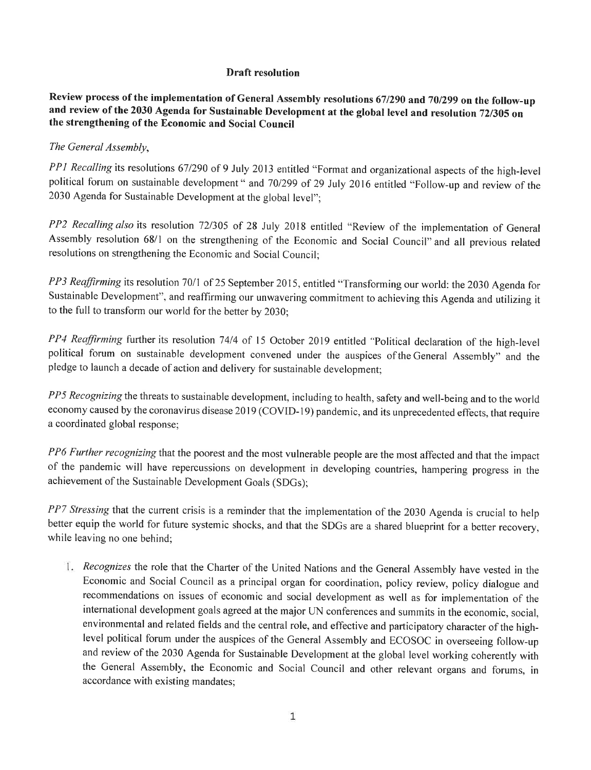## **Draft resolution**

Review process of the implementation of General Assembly resolutions 67/290 and 70/299 on the follow-up and review of the 2030 Agenda for Sustainable Development at the global level and resolution 72/305 on the strengthening of the Economic and Social Council

## The General Assembly,

PP1 Recalling its resolutions 67/290 of 9 July 2013 entitled "Format and organizational aspects of the high-level political forum on sustainable development " and 70/299 of 29 July 2016 entitled "Follow-up and review of the 2030 Agenda for Sustainable Development at the global level";

PP2 Recalling also its resolution 72/305 of 28 July 2018 entitled "Review of the implementation of General Assembly resolution 68/1 on the strengthening of the Economic and Social Council" and all previous related resolutions on strengthening the Economic and Social Council;

PP3 Reaffirming its resolution 70/1 of 25 September 2015, entitled "Transforming our world: the 2030 Agenda for Sustainable Development", and reaffirming our unwavering commitment to achieving this Agenda and utilizing it to the full to transform our world for the better by 2030;

PP4 Reaffirming further its resolution 74/4 of 15 October 2019 entitled "Political declaration of the high-level political forum on sustainable development convened under the auspices of the General Assembly" and the pledge to launch a decade of action and delivery for sustainable development;

PP5 Recognizing the threats to sustainable development, including to health, safety and well-being and to the world economy caused by the coronavirus disease 2019 (COVID-19) pandemic, and its unprecedented effects, that require a coordinated global response;

PP6 Further recognizing that the poorest and the most vulnerable people are the most affected and that the impact of the pandemic will have repercussions on development in developing countries, hampering progress in the achievement of the Sustainable Development Goals (SDGs);

PP7 Stressing that the current crisis is a reminder that the implementation of the 2030 Agenda is crucial to help better equip the world for future systemic shocks, and that the SDGs are a shared blueprint for a better recovery, while leaving no one behind;

1. Recognizes the role that the Charter of the United Nations and the General Assembly have vested in the Economic and Social Council as a principal organ for coordination, policy review, policy dialogue and recommendations on issues of economic and social development as well as for implementation of the international development goals agreed at the major UN conferences and summits in the economic, social, environmental and related fields and the central role, and effective and participatory character of the highlevel political forum under the auspices of the General Assembly and ECOSOC in overseeing follow-up and review of the 2030 Agenda for Sustainable Development at the global level working coherently with the General Assembly, the Economic and Social Council and other relevant organs and forums, in accordance with existing mandates;